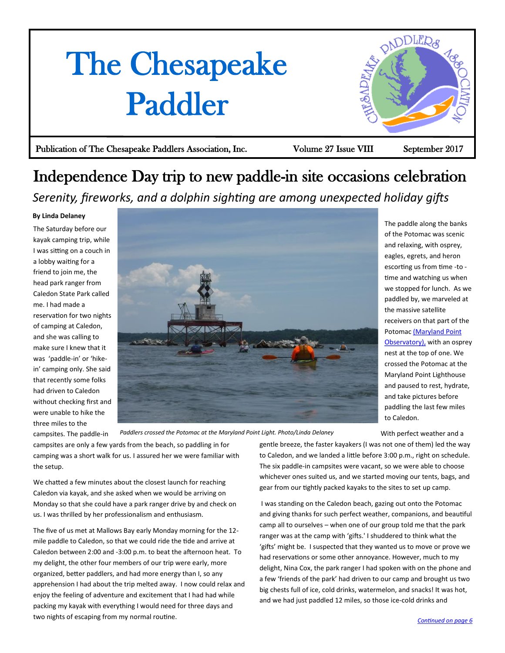# <span id="page-0-0"></span>The Chesapeake Paddler



Publication of The Chesapeake Paddlers Association, Inc. Volume 27 Issue VIII September 2017

## Independence Day trip to new paddle-in site occasions celebration *Serenity, fireworks, and a dolphin sighting are among unexpected holiday gifts*

## **By Linda Delaney**

The Saturday before our kayak camping trip, while I was sitting on a couch in a lobby waiting for a friend to join me, the head park ranger from Caledon State Park called me. I had made a reservation for two nights of camping at Caledon, and she was calling to make sure I knew that it was 'paddle-in' or 'hikein' camping only. She said that recently some folks had driven to Caledon without checking first and were unable to hike the three miles to the



The paddle along the banks of the Potomac was scenic and relaxing, with osprey, eagles, egrets, and heron escorting us from time -to time and watching us when we stopped for lunch. As we paddled by, we marveled at the massive satellite receivers on that part of the Potomac [\(Maryland Point](http://www.redorbit.com/news/space/5487/radio_telescopes_time_in_the_sun_has_passed)  [Observatory\), w](http://www.redorbit.com/news/space/5487/radio_telescopes_time_in_the_sun_has_passed)ith an osprey nest at the top of one. We crossed the Potomac at the Maryland Point Lighthouse and paused to rest, hydrate, and take pictures before paddling the last few miles to Caledon.

With perfect weather and a

campsites. The paddle-in campsites are only a few yards from the beach, so paddling in for camping was a short walk for us. I assured her we were familiar with the setup. *Paddlers crossed the Potomac at the Maryland Point Light. Photo/Linda Delaney*

We chatted a few minutes about the closest launch for reaching Caledon via kayak, and she asked when we would be arriving on Monday so that she could have a park ranger drive by and check on us. I was thrilled by her professionalism and enthusiasm.

The five of us met at Mallows Bay early Monday morning for the 12 mile paddle to Caledon, so that we could ride the tide and arrive at Caledon between 2:00 and -3:00 p.m. to beat the afternoon heat. To my delight, the other four members of our trip were early, more organized, better paddlers, and had more energy than I, so any apprehension I had about the trip melted away. I now could relax and enjoy the feeling of adventure and excitement that I had had while packing my kayak with everything I would need for three days and two nights of escaping from my normal routine.

gentle breeze, the faster kayakers (I was not one of them) led the way to Caledon, and we landed a little before 3:00 p.m., right on schedule. The six paddle-in campsites were vacant, so we were able to choose whichever ones suited us, and we started moving our tents, bags, and gear from our tightly packed kayaks to the sites to set up camp.

 I was standing on the Caledon beach, gazing out onto the Potomac and giving thanks for such perfect weather, companions, and beautiful camp all to ourselves – when one of our group told me that the park ranger was at the camp with 'gifts.' I shuddered to think what the 'gifts' might be. I suspected that they wanted us to move or prove we had reservations or some other annoyance. However, much to my delight, Nina Cox, the park ranger I had spoken with on the phone and a few 'friends of the park' had driven to our camp and brought us two big chests full of ice, cold drinks, watermelon, and snacks! It was hot, and we had just paddled 12 miles, so those ice-cold drinks and